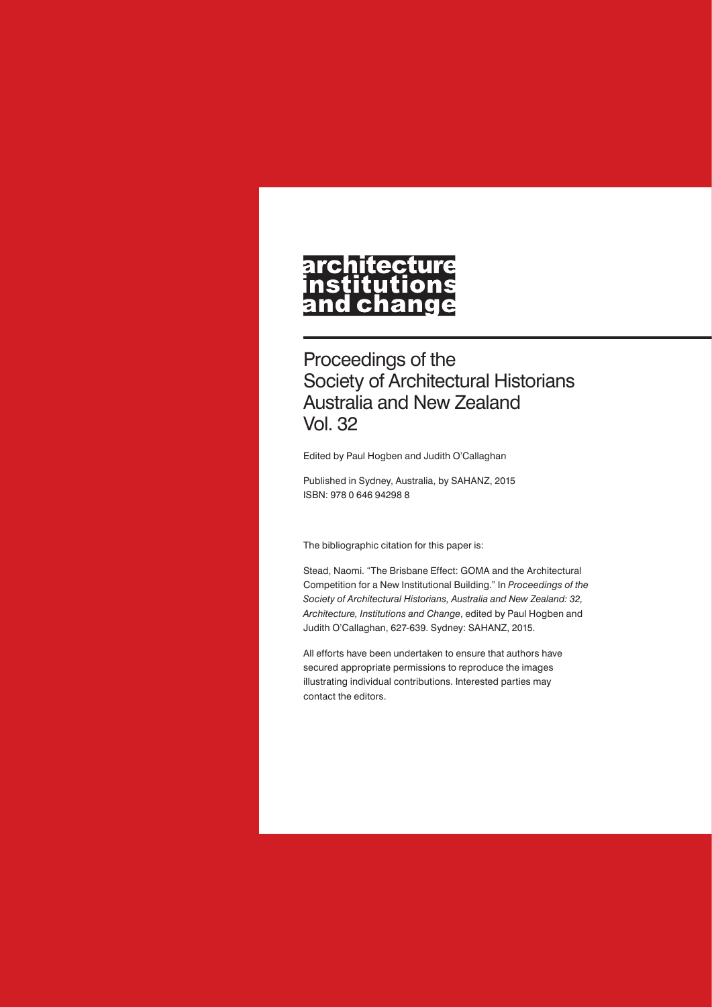# architecture<br>institutions<br>and change

Proceedings of the Society of Architectural Historians Australia and New Zealand Vol. 32

Edited by Paul Hogben and Judith O'Callaghan

Published in Sydney, Australia, by SAHANZ, 2015 ISBN: 978 0 646 94298 8

The bibliographic citation for this paper is:

Stead, Naomi. "The Brisbane Effect: GOMA and the Architectural Competition for a New Institutional Building." In *Proceedings of the Society of Architectural Historians, Australia and New Zealand: 32, Architecture, Institutions and Change*, edited by Paul Hogben and Judith O'Callaghan, 627-639. Sydney: SAHANZ, 2015.

All efforts have been undertaken to ensure that authors have secured appropriate permissions to reproduce the images illustrating individual contributions. Interested parties may contact the editors.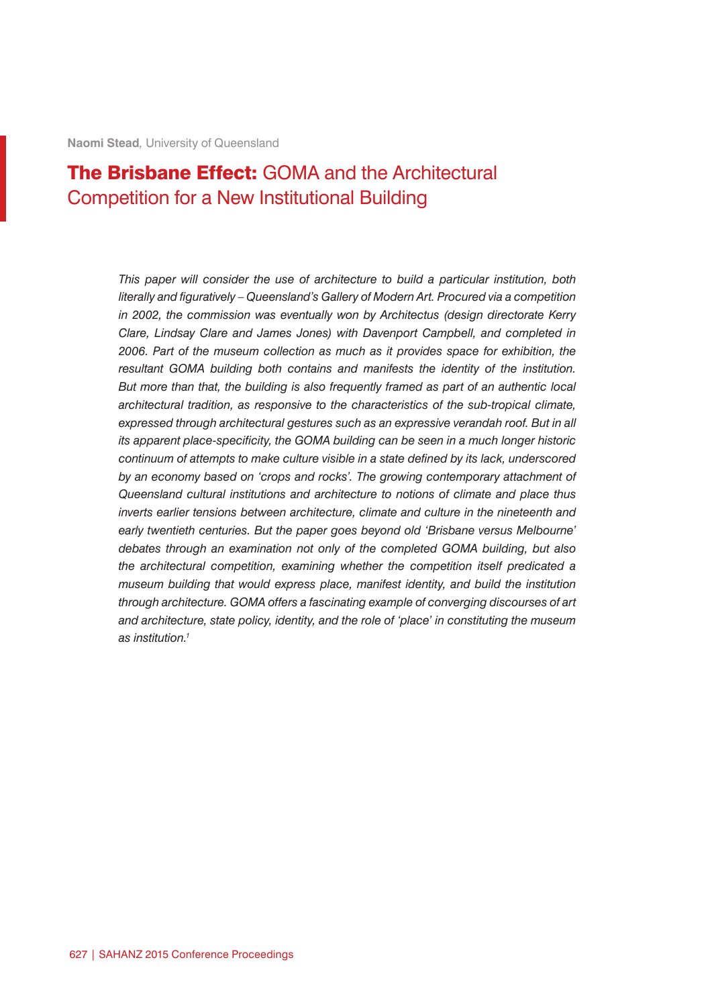# The Brisbane Effect: GOMA and the Architectural Competition for a New Institutional Building

*This paper will consider the use of architecture to build a particular institution, both literally and figuratively – Queensland's Gallery of Modern Art. Procured via a competition in 2002, the commission was eventually won by Architectus (design directorate Kerry Clare, Lindsay Clare and James Jones) with Davenport Campbell, and completed in 2006. Part of the museum collection as much as it provides space for exhibition, the resultant GOMA building both contains and manifests the identity of the institution. But more than that, the building is also frequently framed as part of an authentic local architectural tradition, as responsive to the characteristics of the sub-tropical climate,*  expressed through architectural gestures such as an expressive verandah roof. But in all *its apparent place-specificity, the GOMA building can be seen in a much longer historic continuum of attempts to make culture visible in a state defined by its lack, underscored by an economy based on 'crops and rocks'. The growing contemporary attachment of Queensland cultural institutions and architecture to notions of climate and place thus inverts earlier tensions between architecture, climate and culture in the nineteenth and early twentieth centuries. But the paper goes beyond old 'Brisbane versus Melbourne' debates through an examination not only of the completed GOMA building, but also the architectural competition, examining whether the competition itself predicated a museum building that would express place, manifest identity, and build the institution through architecture. GOMA offers a fascinating example of converging discourses of art and architecture, state policy, identity, and the role of 'place' in constituting the museum as institution.1*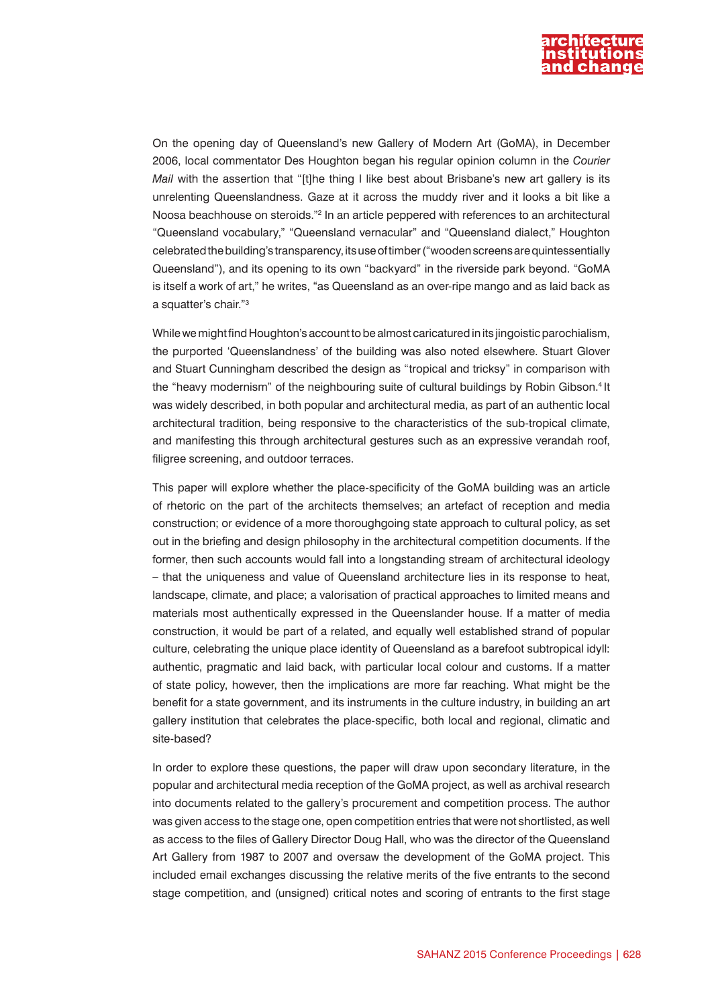

On the opening day of Queensland's new Gallery of Modern Art (GoMA), in December 2006, local commentator Des Houghton began his regular opinion column in the *Courier Mail* with the assertion that "[t]he thing I like best about Brisbane's new art gallery is its unrelenting Queenslandness. Gaze at it across the muddy river and it looks a bit like a Noosa beachhouse on steroids."<sup>2</sup> In an article peppered with references to an architectural "Queensland vocabulary," "Queensland vernacular" and "Queensland dialect," Houghton celebrated the building's transparency, its use of timber ("wooden screens are quintessentially Queensland"), and its opening to its own "backyard" in the riverside park beyond. "GoMA is itself a work of art," he writes, "as Queensland as an over-ripe mango and as laid back as a squatter's chair."3

While we might find Houghton's account to be almost caricatured in its jingoistic parochialism, the purported 'Queenslandness' of the building was also noted elsewhere. Stuart Glover and Stuart Cunningham described the design as "tropical and tricksy" in comparison with the "heavy modernism" of the neighbouring suite of cultural buildings by Robin Gibson.<sup>4</sup> It was widely described, in both popular and architectural media, as part of an authentic local architectural tradition, being responsive to the characteristics of the sub-tropical climate, and manifesting this through architectural gestures such as an expressive verandah roof, filigree screening, and outdoor terraces.

This paper will explore whether the place-specificity of the GoMA building was an article of rhetoric on the part of the architects themselves; an artefact of reception and media construction; or evidence of a more thoroughgoing state approach to cultural policy, as set out in the briefing and design philosophy in the architectural competition documents. If the former, then such accounts would fall into a longstanding stream of architectural ideology – that the uniqueness and value of Queensland architecture lies in its response to heat, landscape, climate, and place; a valorisation of practical approaches to limited means and materials most authentically expressed in the Queenslander house. If a matter of media construction, it would be part of a related, and equally well established strand of popular culture, celebrating the unique place identity of Queensland as a barefoot subtropical idyll: authentic, pragmatic and laid back, with particular local colour and customs. If a matter of state policy, however, then the implications are more far reaching. What might be the benefit for a state government, and its instruments in the culture industry, in building an art gallery institution that celebrates the place-specific, both local and regional, climatic and site-based?

In order to explore these questions, the paper will draw upon secondary literature, in the popular and architectural media reception of the GoMA project, as well as archival research into documents related to the gallery's procurement and competition process. The author was given access to the stage one, open competition entries that were not shortlisted, as well as access to the files of Gallery Director Doug Hall, who was the director of the Queensland Art Gallery from 1987 to 2007 and oversaw the development of the GoMA project. This included email exchanges discussing the relative merits of the five entrants to the second stage competition, and (unsigned) critical notes and scoring of entrants to the first stage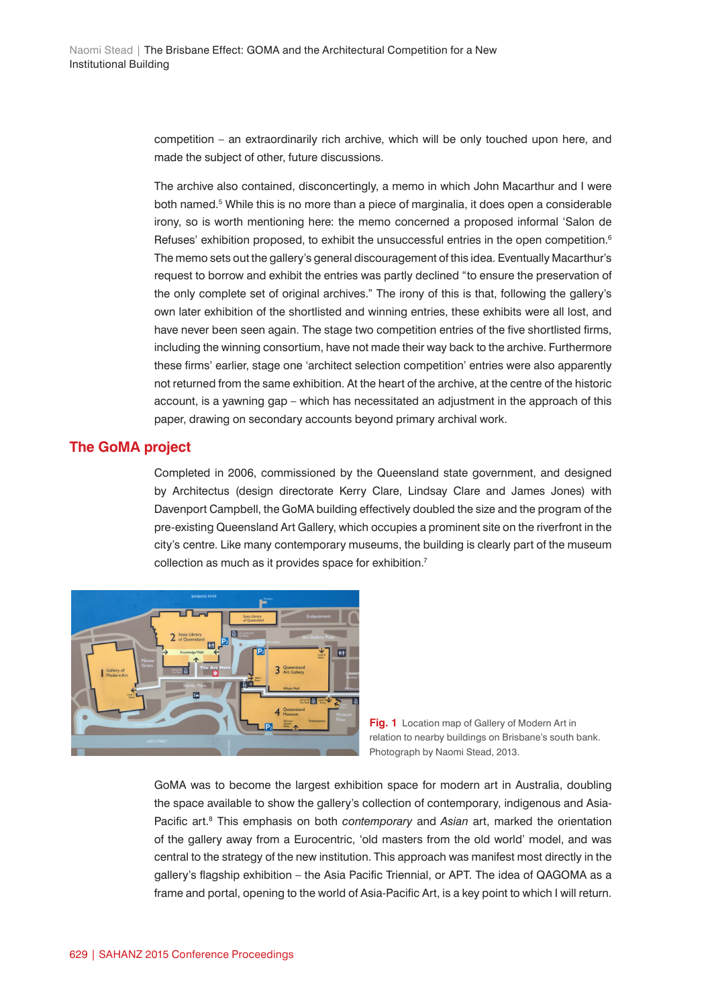competition – an extraordinarily rich archive, which will be only touched upon here, and made the subject of other, future discussions.

The archive also contained, disconcertingly, a memo in which John Macarthur and I were both named.<sup>5</sup> While this is no more than a piece of marginalia, it does open a considerable irony, so is worth mentioning here: the memo concerned a proposed informal 'Salon de Refuses' exhibition proposed, to exhibit the unsuccessful entries in the open competition.<sup>6</sup> The memo sets out the gallery's general discouragement of this idea. Eventually Macarthur's request to borrow and exhibit the entries was partly declined "to ensure the preservation of the only complete set of original archives." The irony of this is that, following the gallery's own later exhibition of the shortlisted and winning entries, these exhibits were all lost, and have never been seen again. The stage two competition entries of the five shortlisted firms, including the winning consortium, have not made their way back to the archive. Furthermore these firms' earlier, stage one 'architect selection competition' entries were also apparently not returned from the same exhibition. At the heart of the archive, at the centre of the historic account, is a yawning gap – which has necessitated an adjustment in the approach of this paper, drawing on secondary accounts beyond primary archival work.

#### **The GoMA project**

Completed in 2006, commissioned by the Queensland state government, and designed by Architectus (design directorate Kerry Clare, Lindsay Clare and James Jones) with Davenport Campbell, the GoMA building effectively doubled the size and the program of the pre-existing Queensland Art Gallery, which occupies a prominent site on the riverfront in the city's centre. Like many contemporary museums, the building is clearly part of the museum collection as much as it provides space for exhibition.<sup>7</sup>



**Fig. 1** Location map of Gallery of Modern Art in relation to nearby buildings on Brisbane's south bank. Photograph by Naomi Stead, 2013.

GoMA was to become the largest exhibition space for modern art in Australia, doubling the space available to show the gallery's collection of contemporary, indigenous and Asia-Pacific art.<sup>8</sup> This emphasis on both *contemporary* and Asian art, marked the orientation of the gallery away from a Eurocentric, 'old masters from the old world' model, and was central to the strategy of the new institution. This approach was manifest most directly in the gallery's flagship exhibition – the Asia Pacific Triennial, or APT. The idea of QAGOMA as a frame and portal, opening to the world of Asia-Pacific Art, is a key point to which I will return.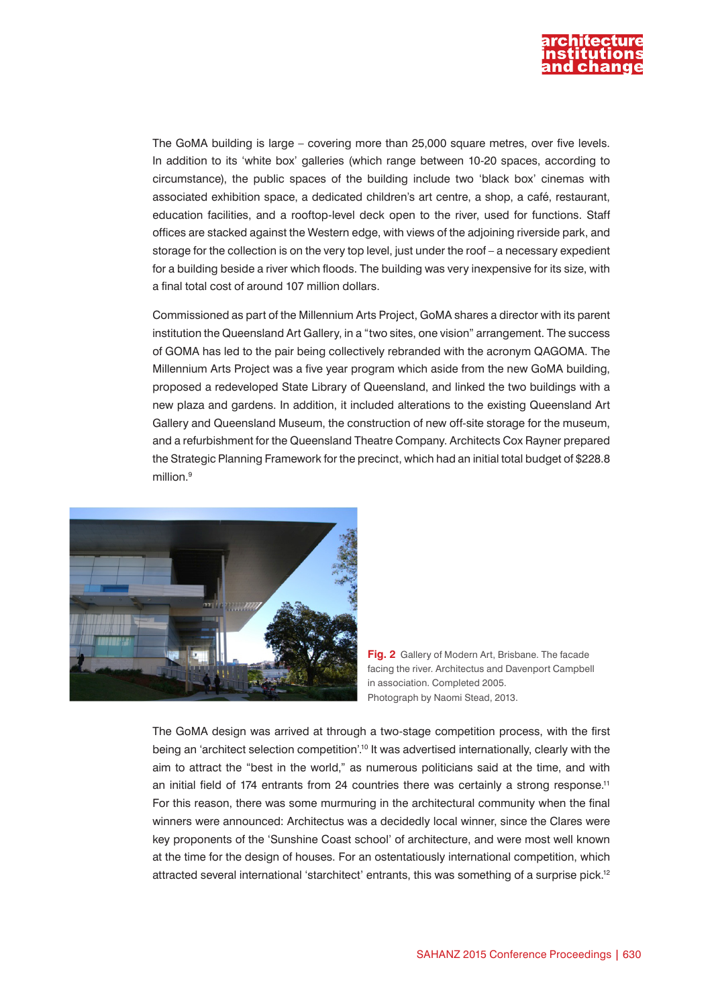

The GoMA building is large – covering more than 25,000 square metres, over five levels. In addition to its 'white box' galleries (which range between 10-20 spaces, according to circumstance), the public spaces of the building include two 'black box' cinemas with associated exhibition space, a dedicated children's art centre, a shop, a café, restaurant, education facilities, and a rooftop-level deck open to the river, used for functions. Staff offices are stacked against the Western edge, with views of the adjoining riverside park, and storage for the collection is on the very top level, just under the roof – a necessary expedient for a building beside a river which floods. The building was very inexpensive for its size, with a final total cost of around 107 million dollars.

Commissioned as part of the Millennium Arts Project, GoMA shares a director with its parent institution the Queensland Art Gallery, in a "two sites, one vision" arrangement. The success of GOMA has led to the pair being collectively rebranded with the acronym QAGOMA. The Millennium Arts Project was a five year program which aside from the new GoMA building, proposed a redeveloped State Library of Queensland, and linked the two buildings with a new plaza and gardens. In addition, it included alterations to the existing Queensland Art Gallery and Queensland Museum, the construction of new off-site storage for the museum, and a refurbishment for the Queensland Theatre Company. Architects Cox Rayner prepared the Strategic Planning Framework for the precinct, which had an initial total budget of \$228.8 million.9



**Fig. 2** Gallery of Modern Art, Brisbane. The facade facing the river. Architectus and Davenport Campbell in association. Completed 2005. Photograph by Naomi Stead, 2013.

The GoMA design was arrived at through a two-stage competition process, with the first being an 'architect selection competition'.10 It was advertised internationally, clearly with the aim to attract the "best in the world," as numerous politicians said at the time, and with an initial field of 174 entrants from 24 countries there was certainly a strong response.<sup>11</sup> For this reason, there was some murmuring in the architectural community when the final winners were announced: Architectus was a decidedly local winner, since the Clares were key proponents of the 'Sunshine Coast school' of architecture, and were most well known at the time for the design of houses. For an ostentatiously international competition, which attracted several international 'starchitect' entrants, this was something of a surprise pick.12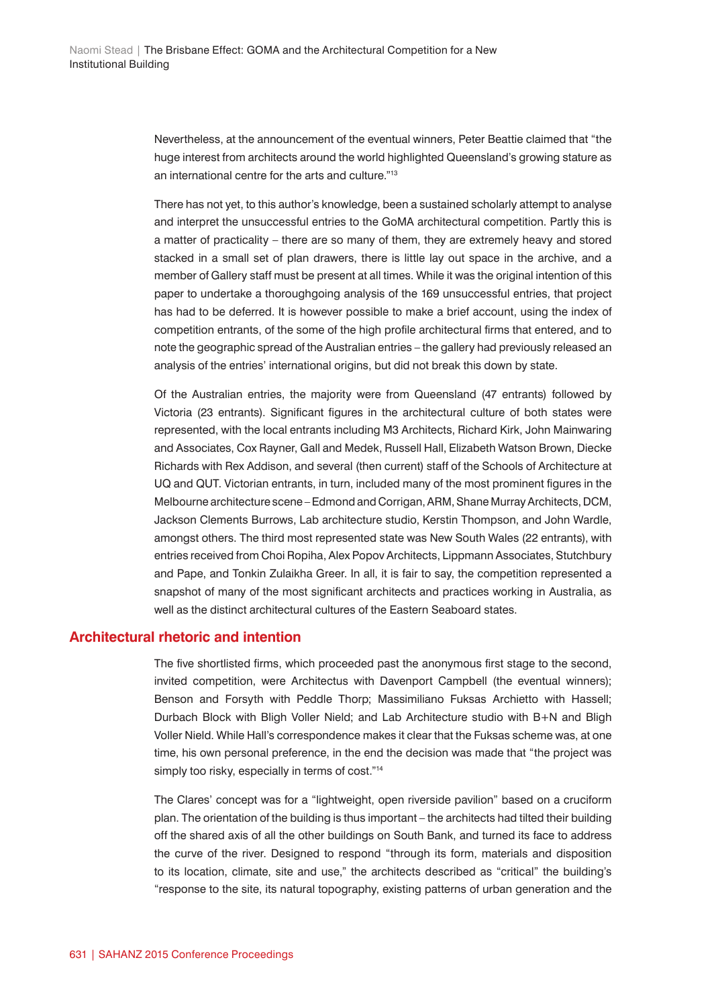Nevertheless, at the announcement of the eventual winners, Peter Beattie claimed that "the huge interest from architects around the world highlighted Queensland's growing stature as an international centre for the arts and culture."13

There has not yet, to this author's knowledge, been a sustained scholarly attempt to analyse and interpret the unsuccessful entries to the GoMA architectural competition. Partly this is a matter of practicality – there are so many of them, they are extremely heavy and stored stacked in a small set of plan drawers, there is little lay out space in the archive, and a member of Gallery staff must be present at all times. While it was the original intention of this paper to undertake a thoroughgoing analysis of the 169 unsuccessful entries, that project has had to be deferred. It is however possible to make a brief account, using the index of competition entrants, of the some of the high profile architectural firms that entered, and to note the geographic spread of the Australian entries – the gallery had previously released an analysis of the entries' international origins, but did not break this down by state.

Of the Australian entries, the majority were from Queensland (47 entrants) followed by Victoria (23 entrants). Significant figures in the architectural culture of both states were represented, with the local entrants including M3 Architects, Richard Kirk, John Mainwaring and Associates, Cox Rayner, Gall and Medek, Russell Hall, Elizabeth Watson Brown, Diecke Richards with Rex Addison, and several (then current) staff of the Schools of Architecture at UQ and QUT. Victorian entrants, in turn, included many of the most prominent figures in the Melbourne architecture scene – Edmond and Corrigan, ARM, Shane Murray Architects, DCM, Jackson Clements Burrows, Lab architecture studio, Kerstin Thompson, and John Wardle, amongst others. The third most represented state was New South Wales (22 entrants), with entries received from Choi Ropiha, Alex Popov Architects, Lippmann Associates, Stutchbury and Pape, and Tonkin Zulaikha Greer. In all, it is fair to say, the competition represented a snapshot of many of the most significant architects and practices working in Australia, as well as the distinct architectural cultures of the Eastern Seaboard states.

#### **Architectural rhetoric and intention**

The five shortlisted firms, which proceeded past the anonymous first stage to the second, invited competition, were Architectus with Davenport Campbell (the eventual winners); Benson and Forsyth with Peddle Thorp; Massimiliano Fuksas Archietto with Hassell; Durbach Block with Bligh Voller Nield; and Lab Architecture studio with B+N and Bligh Voller Nield. While Hall's correspondence makes it clear that the Fuksas scheme was, at one time, his own personal preference, in the end the decision was made that "the project was simply too risky, especially in terms of cost."<sup>14</sup>

The Clares' concept was for a "lightweight, open riverside pavilion" based on a cruciform plan. The orientation of the building is thus important – the architects had tilted their building off the shared axis of all the other buildings on South Bank, and turned its face to address the curve of the river. Designed to respond "through its form, materials and disposition to its location, climate, site and use," the architects described as "critical" the building's "response to the site, its natural topography, existing patterns of urban generation and the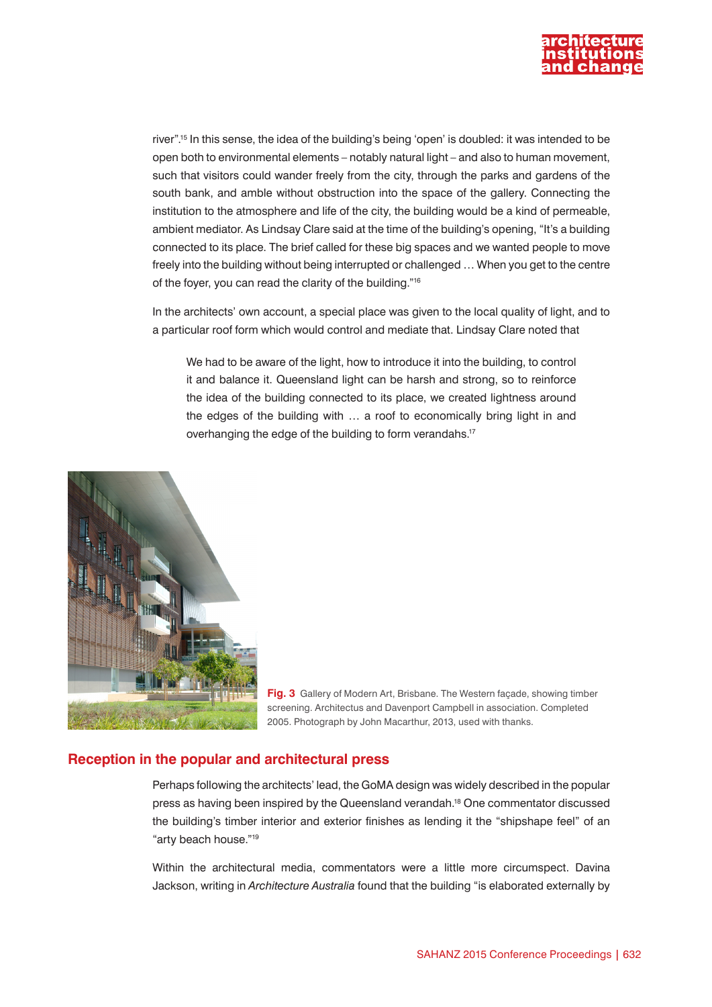

river".15 In this sense, the idea of the building's being 'open' is doubled: it was intended to be open both to environmental elements – notably natural light – and also to human movement, such that visitors could wander freely from the city, through the parks and gardens of the south bank, and amble without obstruction into the space of the gallery. Connecting the institution to the atmosphere and life of the city, the building would be a kind of permeable, ambient mediator. As Lindsay Clare said at the time of the building's opening, "It's a building connected to its place. The brief called for these big spaces and we wanted people to move freely into the building without being interrupted or challenged … When you get to the centre of the foyer, you can read the clarity of the building."16

In the architects' own account, a special place was given to the local quality of light, and to a particular roof form which would control and mediate that. Lindsay Clare noted that

We had to be aware of the light, how to introduce it into the building, to control it and balance it. Queensland light can be harsh and strong, so to reinforce the idea of the building connected to its place, we created lightness around the edges of the building with … a roof to economically bring light in and overhanging the edge of the building to form verandahs.<sup>17</sup>



**Fig. 3** Gallery of Modern Art, Brisbane. The Western façade, showing timber screening. Architectus and Davenport Campbell in association. Completed 2005. Photograph by John Macarthur, 2013, used with thanks.

#### **Reception in the popular and architectural press**

Perhaps following the architects' lead, the GoMA design was widely described in the popular press as having been inspired by the Queensland verandah.18 One commentator discussed the building's timber interior and exterior finishes as lending it the "shipshape feel" of an "arty beach house."19

Within the architectural media, commentators were a little more circumspect. Davina Jackson, writing in *Architecture Australia* found that the building "is elaborated externally by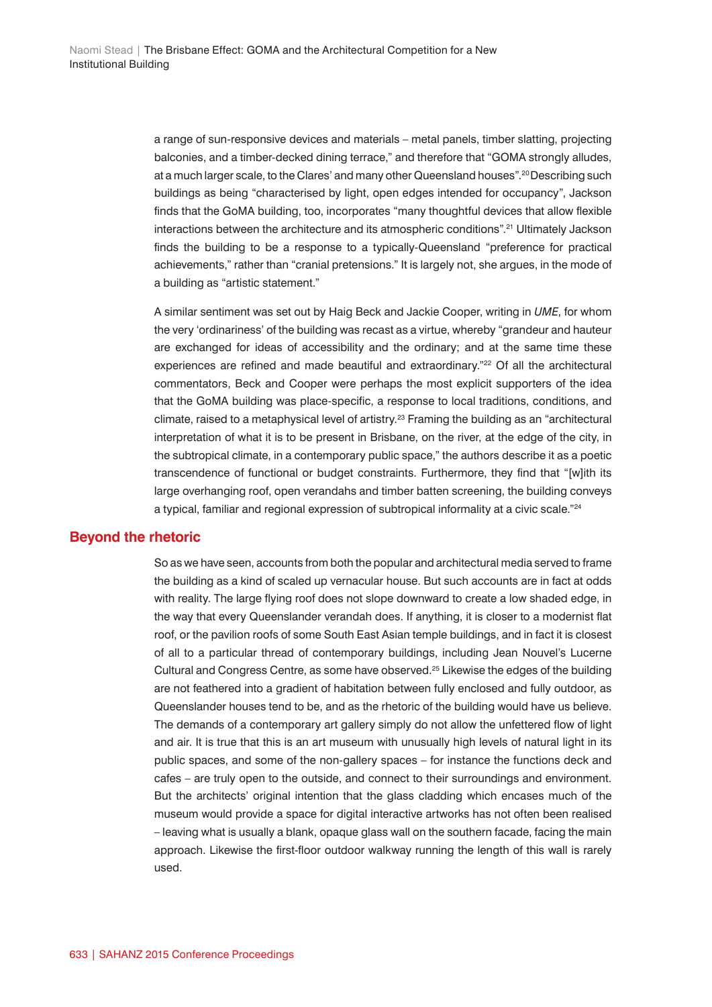a range of sun-responsive devices and materials – metal panels, timber slatting, projecting balconies, and a timber-decked dining terrace," and therefore that "GOMA strongly alludes, at a much larger scale, to the Clares' and many other Queensland houses".<sup>20</sup> Describing such buildings as being "characterised by light, open edges intended for occupancy", Jackson finds that the GoMA building, too, incorporates "many thoughtful devices that allow flexible interactions between the architecture and its atmospheric conditions".21 Ultimately Jackson finds the building to be a response to a typically-Queensland "preference for practical achievements," rather than "cranial pretensions." It is largely not, she argues, in the mode of a building as "artistic statement."

A similar sentiment was set out by Haig Beck and Jackie Cooper, writing in *UME*, for whom the very 'ordinariness' of the building was recast as a virtue, whereby "grandeur and hauteur are exchanged for ideas of accessibility and the ordinary; and at the same time these experiences are refined and made beautiful and extraordinary."<sup>22</sup> Of all the architectural commentators, Beck and Cooper were perhaps the most explicit supporters of the idea that the GoMA building was place-specific, a response to local traditions, conditions, and climate, raised to a metaphysical level of artistry.<sup>23</sup> Framing the building as an "architectural interpretation of what it is to be present in Brisbane, on the river, at the edge of the city, in the subtropical climate, in a contemporary public space," the authors describe it as a poetic transcendence of functional or budget constraints. Furthermore, they find that "[w]ith its large overhanging roof, open verandahs and timber batten screening, the building conveys a typical, familiar and regional expression of subtropical informality at a civic scale."<sup>24</sup>

#### **Beyond the rhetoric**

So as we have seen, accounts from both the popular and architectural media served to frame the building as a kind of scaled up vernacular house. But such accounts are in fact at odds with reality. The large flying roof does not slope downward to create a low shaded edge, in the way that every Queenslander verandah does. If anything, it is closer to a modernist flat roof, or the pavilion roofs of some South East Asian temple buildings, and in fact it is closest of all to a particular thread of contemporary buildings, including Jean Nouvel's Lucerne Cultural and Congress Centre, as some have observed.25 Likewise the edges of the building are not feathered into a gradient of habitation between fully enclosed and fully outdoor, as Queenslander houses tend to be, and as the rhetoric of the building would have us believe. The demands of a contemporary art gallery simply do not allow the unfettered flow of light and air. It is true that this is an art museum with unusually high levels of natural light in its public spaces, and some of the non-gallery spaces – for instance the functions deck and cafes – are truly open to the outside, and connect to their surroundings and environment. But the architects' original intention that the glass cladding which encases much of the museum would provide a space for digital interactive artworks has not often been realised – leaving what is usually a blank, opaque glass wall on the southern facade, facing the main approach. Likewise the first-floor outdoor walkway running the length of this wall is rarely used.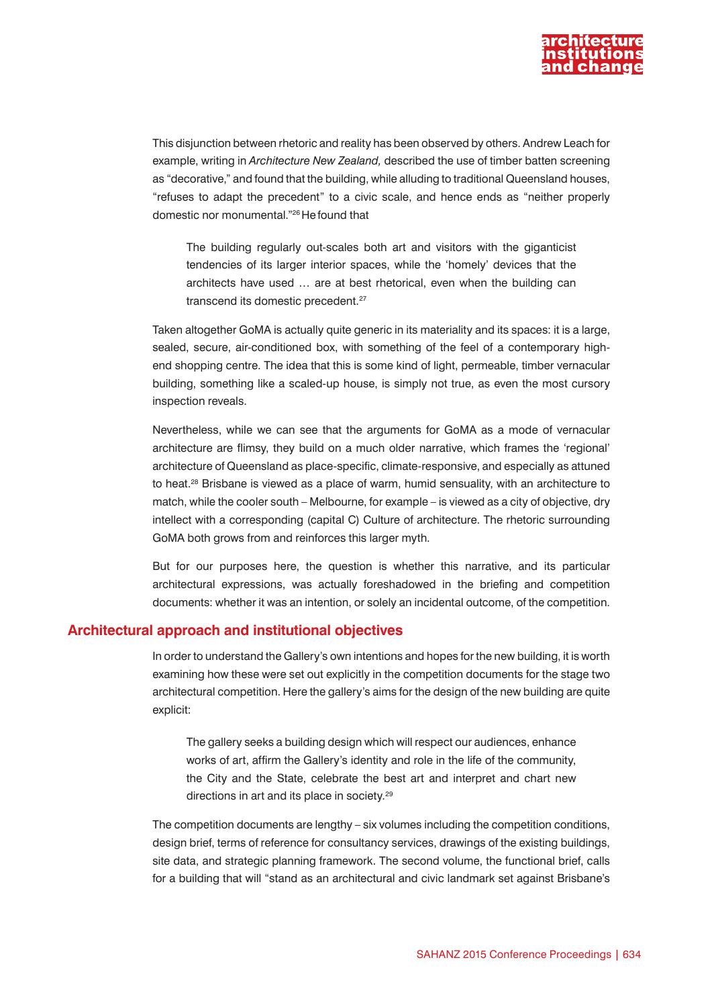

This disjunction between rhetoric and reality has been observed by others. Andrew Leach for example, writing in *Architecture New Zealand,* described the use of timber batten screening as "decorative," and found that the building, while alluding to traditional Queensland houses, "refuses to adapt the precedent" to a civic scale, and hence ends as "neither properly domestic nor monumental."26 He found that

The building regularly out-scales both art and visitors with the giganticist tendencies of its larger interior spaces, while the 'homely' devices that the architects have used … are at best rhetorical, even when the building can transcend its domestic precedent.<sup>27</sup>

Taken altogether GoMA is actually quite generic in its materiality and its spaces: it is a large, sealed, secure, air-conditioned box, with something of the feel of a contemporary highend shopping centre. The idea that this is some kind of light, permeable, timber vernacular building, something like a scaled-up house, is simply not true, as even the most cursory inspection reveals.

Nevertheless, while we can see that the arguments for GoMA as a mode of vernacular architecture are flimsy, they build on a much older narrative, which frames the 'regional' architecture of Queensland as place-specific, climate-responsive, and especially as attuned to heat.<sup>28</sup> Brisbane is viewed as a place of warm, humid sensuality, with an architecture to match, while the cooler south – Melbourne, for example – is viewed as a city of objective, dry intellect with a corresponding (capital C) Culture of architecture. The rhetoric surrounding GoMA both grows from and reinforces this larger myth.

But for our purposes here, the question is whether this narrative, and its particular architectural expressions, was actually foreshadowed in the briefing and competition documents: whether it was an intention, or solely an incidental outcome, of the competition.

#### **Architectural approach and institutional objectives**

In order to understand the Gallery's own intentions and hopes for the new building, it is worth examining how these were set out explicitly in the competition documents for the stage two architectural competition. Here the gallery's aims for the design of the new building are quite explicit:

The gallery seeks a building design which will respect our audiences, enhance works of art, affirm the Gallery's identity and role in the life of the community, the City and the State, celebrate the best art and interpret and chart new directions in art and its place in society.29

The competition documents are lengthy – six volumes including the competition conditions, design brief, terms of reference for consultancy services, drawings of the existing buildings, site data, and strategic planning framework. The second volume, the functional brief, calls for a building that will "stand as an architectural and civic landmark set against Brisbane's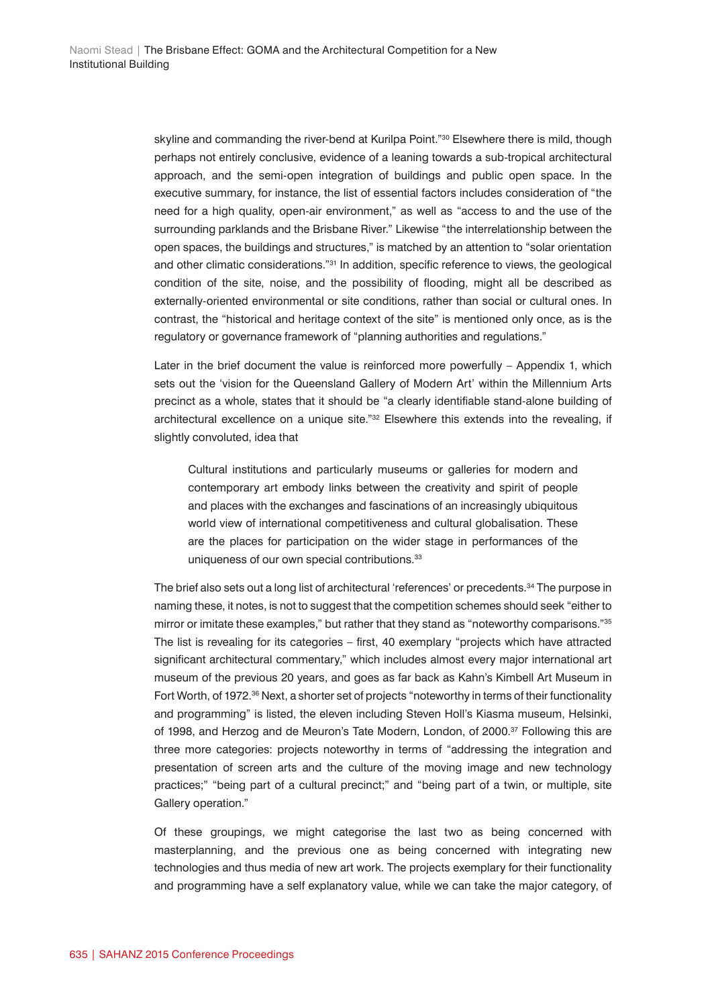skyline and commanding the river-bend at Kurilpa Point."<sup>30</sup> Elsewhere there is mild, though perhaps not entirely conclusive, evidence of a leaning towards a sub-tropical architectural approach, and the semi-open integration of buildings and public open space. In the executive summary, for instance, the list of essential factors includes consideration of "the need for a high quality, open-air environment," as well as "access to and the use of the surrounding parklands and the Brisbane River." Likewise "the interrelationship between the open spaces, the buildings and structures," is matched by an attention to "solar orientation and other climatic considerations."31 In addition, specific reference to views, the geological condition of the site, noise, and the possibility of flooding, might all be described as externally-oriented environmental or site conditions, rather than social or cultural ones. In contrast, the "historical and heritage context of the site" is mentioned only once, as is the regulatory or governance framework of "planning authorities and regulations."

Later in the brief document the value is reinforced more powerfully – Appendix 1, which sets out the 'vision for the Queensland Gallery of Modern Art' within the Millennium Arts precinct as a whole, states that it should be "a clearly identifiable stand-alone building of architectural excellence on a unique site."32 Elsewhere this extends into the revealing, if slightly convoluted, idea that

Cultural institutions and particularly museums or galleries for modern and contemporary art embody links between the creativity and spirit of people and places with the exchanges and fascinations of an increasingly ubiquitous world view of international competitiveness and cultural globalisation. These are the places for participation on the wider stage in performances of the uniqueness of our own special contributions.<sup>33</sup>

The brief also sets out a long list of architectural 'references' or precedents.34 The purpose in naming these, it notes, is not to suggest that the competition schemes should seek "either to mirror or imitate these examples," but rather that they stand as "noteworthy comparisons."<sup>35</sup> The list is revealing for its categories – first, 40 exemplary "projects which have attracted significant architectural commentary," which includes almost every major international art museum of the previous 20 years, and goes as far back as Kahn's Kimbell Art Museum in Fort Worth, of 1972.<sup>36</sup> Next, a shorter set of projects "noteworthy in terms of their functionality and programming" is listed, the eleven including Steven Holl's Kiasma museum, Helsinki, of 1998, and Herzog and de Meuron's Tate Modern, London, of 2000.37 Following this are three more categories: projects noteworthy in terms of "addressing the integration and presentation of screen arts and the culture of the moving image and new technology practices;" "being part of a cultural precinct;" and "being part of a twin, or multiple, site Gallery operation."

Of these groupings, we might categorise the last two as being concerned with masterplanning, and the previous one as being concerned with integrating new technologies and thus media of new art work. The projects exemplary for their functionality and programming have a self explanatory value, while we can take the major category, of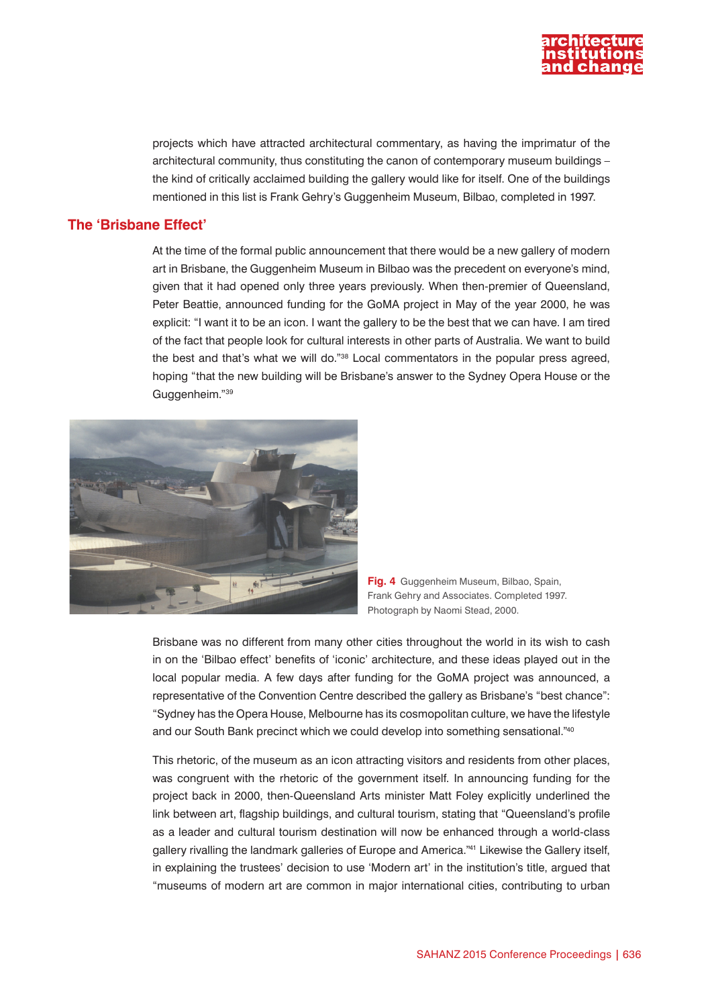

projects which have attracted architectural commentary, as having the imprimatur of the architectural community, thus constituting the canon of contemporary museum buildings – the kind of critically acclaimed building the gallery would like for itself. One of the buildings mentioned in this list is Frank Gehry's Guggenheim Museum, Bilbao, completed in 1997.

## **The 'Brisbane Effect'**

At the time of the formal public announcement that there would be a new gallery of modern art in Brisbane, the Guggenheim Museum in Bilbao was the precedent on everyone's mind, given that it had opened only three years previously. When then-premier of Queensland, Peter Beattie, announced funding for the GoMA project in May of the year 2000, he was explicit: "I want it to be an icon. I want the gallery to be the best that we can have. I am tired of the fact that people look for cultural interests in other parts of Australia. We want to build the best and that's what we will do."38 Local commentators in the popular press agreed, hoping "that the new building will be Brisbane's answer to the Sydney Opera House or the Guggenheim."39



**Fig. 4** Guggenheim Museum, Bilbao, Spain, Frank Gehry and Associates. Completed 1997. Photograph by Naomi Stead, 2000.

Brisbane was no different from many other cities throughout the world in its wish to cash in on the 'Bilbao effect' benefits of 'iconic' architecture, and these ideas played out in the local popular media. A few days after funding for the GoMA project was announced, a representative of the Convention Centre described the gallery as Brisbane's "best chance": "Sydney has the Opera House, Melbourne has its cosmopolitan culture, we have the lifestyle and our South Bank precinct which we could develop into something sensational."40

This rhetoric, of the museum as an icon attracting visitors and residents from other places, was congruent with the rhetoric of the government itself. In announcing funding for the project back in 2000, then-Queensland Arts minister Matt Foley explicitly underlined the link between art, flagship buildings, and cultural tourism, stating that "Queensland's profile as a leader and cultural tourism destination will now be enhanced through a world-class gallery rivalling the landmark galleries of Europe and America."<sup>41</sup> Likewise the Gallery itself, in explaining the trustees' decision to use 'Modern art' in the institution's title, argued that "museums of modern art are common in major international cities, contributing to urban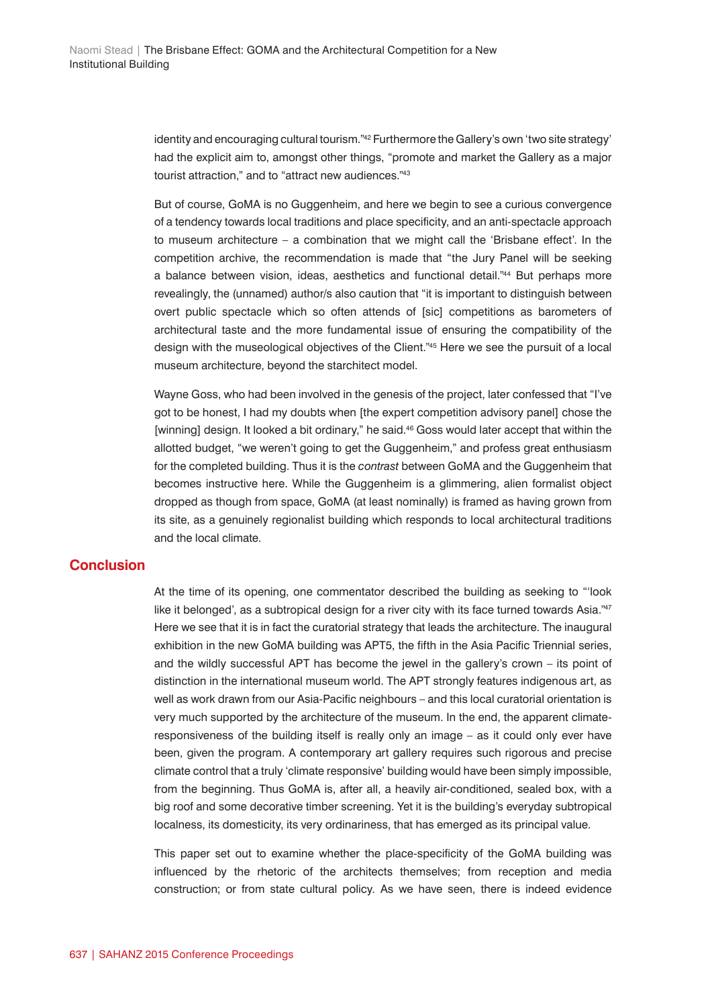identity and encouraging cultural tourism."42 Furthermore the Gallery's own 'two site strategy' had the explicit aim to, amongst other things, "promote and market the Gallery as a major tourist attraction," and to "attract new audiences."<sup>43</sup>

But of course, GoMA is no Guggenheim, and here we begin to see a curious convergence of a tendency towards local traditions and place specificity, and an anti-spectacle approach to museum architecture – a combination that we might call the 'Brisbane effect'. In the competition archive, the recommendation is made that "the Jury Panel will be seeking a balance between vision, ideas, aesthetics and functional detail."44 But perhaps more revealingly, the (unnamed) author/s also caution that "it is important to distinguish between overt public spectacle which so often attends of [sic] competitions as barometers of architectural taste and the more fundamental issue of ensuring the compatibility of the design with the museological objectives of the Client."45 Here we see the pursuit of a local museum architecture, beyond the starchitect model.

Wayne Goss, who had been involved in the genesis of the project, later confessed that "I've got to be honest, I had my doubts when [the expert competition advisory panel] chose the [winning] design. It looked a bit ordinary," he said.<sup>46</sup> Goss would later accept that within the allotted budget, "we weren't going to get the Guggenheim," and profess great enthusiasm for the completed building. Thus it is the *contrast* between GoMA and the Guggenheim that becomes instructive here. While the Guggenheim is a glimmering, alien formalist object dropped as though from space, GoMA (at least nominally) is framed as having grown from its site, as a genuinely regionalist building which responds to local architectural traditions and the local climate.

## **Conclusion**

At the time of its opening, one commentator described the building as seeking to "'look like it belonged', as a subtropical design for a river city with its face turned towards Asia."<sup>47</sup> Here we see that it is in fact the curatorial strategy that leads the architecture. The inaugural exhibition in the new GoMA building was APT5, the fifth in the Asia Pacific Triennial series, and the wildly successful APT has become the jewel in the gallery's crown – its point of distinction in the international museum world. The APT strongly features indigenous art, as well as work drawn from our Asia-Pacific neighbours – and this local curatorial orientation is very much supported by the architecture of the museum. In the end, the apparent climateresponsiveness of the building itself is really only an image – as it could only ever have been, given the program. A contemporary art gallery requires such rigorous and precise climate control that a truly 'climate responsive' building would have been simply impossible, from the beginning. Thus GoMA is, after all, a heavily air-conditioned, sealed box, with a big roof and some decorative timber screening. Yet it is the building's everyday subtropical localness, its domesticity, its very ordinariness, that has emerged as its principal value.

This paper set out to examine whether the place-specificity of the GoMA building was influenced by the rhetoric of the architects themselves; from reception and media construction; or from state cultural policy. As we have seen, there is indeed evidence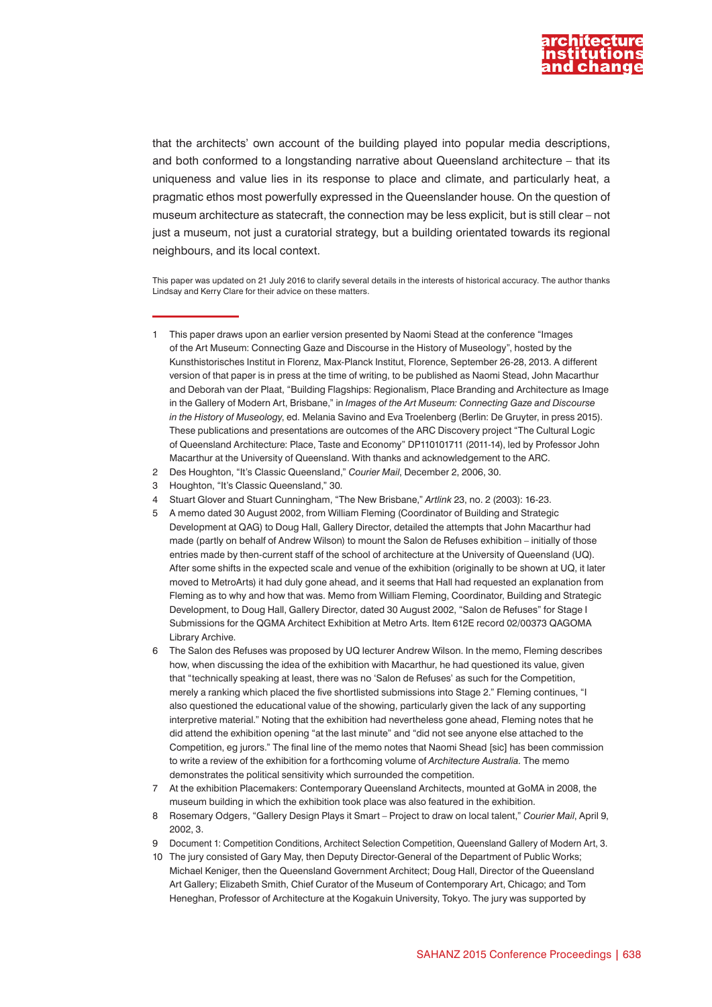

that the architects' own account of the building played into popular media descriptions, and both conformed to a longstanding narrative about Queensland architecture – that its uniqueness and value lies in its response to place and climate, and particularly heat, a pragmatic ethos most powerfully expressed in the Queenslander house. On the question of museum architecture as statecraft, the connection may be less explicit, but is still clear – not just a museum, not just a curatorial strategy, but a building orientated towards its regional neighbours, and its local context.

This paper was updated on 21 July 2016 to clarify several details in the interests of historical accuracy. The author thanks Lindsay and Kerry Clare for their advice on these matters.

- 3 Houghton, "It's Classic Queensland," 30.
- 4 Stuart Glover and Stuart Cunningham, "The New Brisbane," *Artlink* 23, no. 2 (2003): 16-23.
- 5 A memo dated 30 August 2002, from William Fleming (Coordinator of Building and Strategic
- Development at QAG) to Doug Hall, Gallery Director, detailed the attempts that John Macarthur had made (partly on behalf of Andrew Wilson) to mount the Salon de Refuses exhibition – initially of those entries made by then-current staff of the school of architecture at the University of Queensland (UQ). After some shifts in the expected scale and venue of the exhibition (originally to be shown at UQ, it later moved to MetroArts) it had duly gone ahead, and it seems that Hall had requested an explanation from Fleming as to why and how that was. Memo from William Fleming, Coordinator, Building and Strategic Development, to Doug Hall, Gallery Director, dated 30 August 2002, "Salon de Refuses" for Stage I Submissions for the QGMA Architect Exhibition at Metro Arts. Item 612E record 02/00373 QAGOMA Library Archive.
- 6 The Salon des Refuses was proposed by UQ lecturer Andrew Wilson. In the memo, Fleming describes how, when discussing the idea of the exhibition with Macarthur, he had questioned its value, given that "technically speaking at least, there was no 'Salon de Refuses' as such for the Competition, merely a ranking which placed the five shortlisted submissions into Stage 2." Fleming continues, "I also questioned the educational value of the showing, particularly given the lack of any supporting interpretive material." Noting that the exhibition had nevertheless gone ahead, Fleming notes that he did attend the exhibition opening "at the last minute" and "did not see anyone else attached to the Competition, eg jurors." The final line of the memo notes that Naomi Shead [sic] has been commission to write a review of the exhibition for a forthcoming volume of *Architecture Australia.* The memo demonstrates the political sensitivity which surrounded the competition.
- 7 At the exhibition Placemakers: Contemporary Queensland Architects, mounted at GoMA in 2008, the museum building in which the exhibition took place was also featured in the exhibition.
- 8 Rosemary Odgers, "Gallery Design Plays it Smart Project to draw on local talent," *Courier Mail*, April 9, 2002, 3.
- 9 Document 1: Competition Conditions, Architect Selection Competition, Queensland Gallery of Modern Art, 3.
- 10 The jury consisted of Gary May, then Deputy Director-General of the Department of Public Works; Michael Keniger, then the Queensland Government Architect; Doug Hall, Director of the Queensland Art Gallery; Elizabeth Smith, Chief Curator of the Museum of Contemporary Art, Chicago; and Tom Heneghan, Professor of Architecture at the Kogakuin University, Tokyo. The jury was supported by

<sup>1</sup> This paper draws upon an earlier version presented by Naomi Stead at the conference "Images of the Art Museum: Connecting Gaze and Discourse in the History of Museology", hosted by the Kunsthistorisches Institut in Florenz, Max-Planck Institut, Florence, September 26-28, 2013. A different version of that paper is in press at the time of writing, to be published as Naomi Stead, John Macarthur and Deborah van der Plaat, "Building Flagships: Regionalism, Place Branding and Architecture as Image in the Gallery of Modern Art, Brisbane," in *Images of the Art Museum: Connecting Gaze and Discourse in the History of Museology*, ed. Melania Savino and Eva Troelenberg (Berlin: De Gruyter, in press 2015). These publications and presentations are outcomes of the ARC Discovery project "The Cultural Logic of Queensland Architecture: Place, Taste and Economy" DP110101711 (2011-14), led by Professor John Macarthur at the University of Queensland. With thanks and acknowledgement to the ARC.

<sup>2</sup> Des Houghton, "It's Classic Queensland," *Courier Mail*, December 2, 2006, 30.